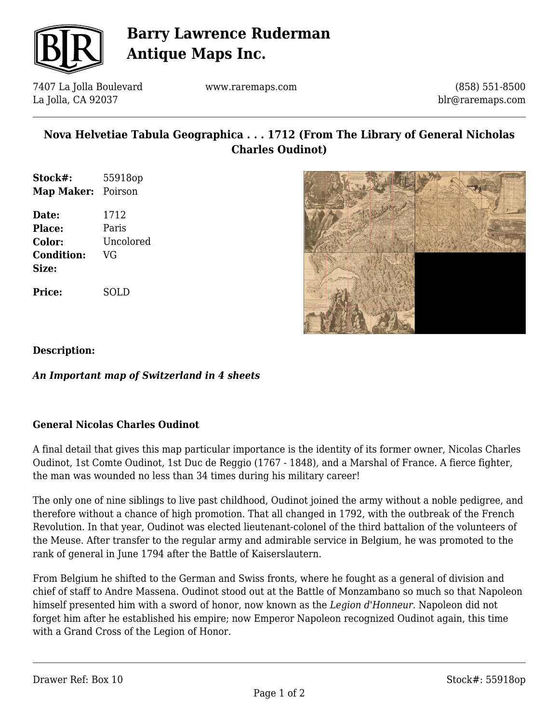

# **Barry Lawrence Ruderman Antique Maps Inc.**

7407 La Jolla Boulevard La Jolla, CA 92037

www.raremaps.com

(858) 551-8500 blr@raremaps.com

# **Nova Helvetiae Tabula Geographica . . . 1712 (From The Library of General Nicholas Charles Oudinot)**

| Stock#:           | 55918op   |
|-------------------|-----------|
| Map Maker:        | Poirson   |
| Date:             | 1712      |
| <b>Place:</b>     | Paris     |
| <b>Color:</b>     | Uncolored |
| <b>Condition:</b> | VG        |

**Price:** SOLD



**Description:**

**Size:**

## *An Important map of Switzerland in 4 sheets*

## **General Nicolas Charles Oudinot**

A final detail that gives this map particular importance is the identity of its former owner, Nicolas Charles Oudinot, 1st Comte Oudinot, 1st Duc de Reggio (1767 - 1848), and a Marshal of France. A fierce fighter, the man was wounded no less than 34 times during his military career!

The only one of nine siblings to live past childhood, Oudinot joined the army without a noble pedigree, and therefore without a chance of high promotion. That all changed in 1792, with the outbreak of the French Revolution. In that year, Oudinot was elected lieutenant-colonel of the third battalion of the volunteers of the Meuse. After transfer to the regular army and admirable service in Belgium, he was promoted to the rank of general in June 1794 after the Battle of Kaiserslautern.

From Belgium he shifted to the German and Swiss fronts, where he fought as a general of division and chief of staff to Andre Massena. Oudinot stood out at the Battle of Monzambano so much so that Napoleon himself presented him with a sword of honor, now known as the *Legion d'Honneur*. Napoleon did not forget him after he established his empire; now Emperor Napoleon recognized Oudinot again, this time with a Grand Cross of the Legion of Honor.